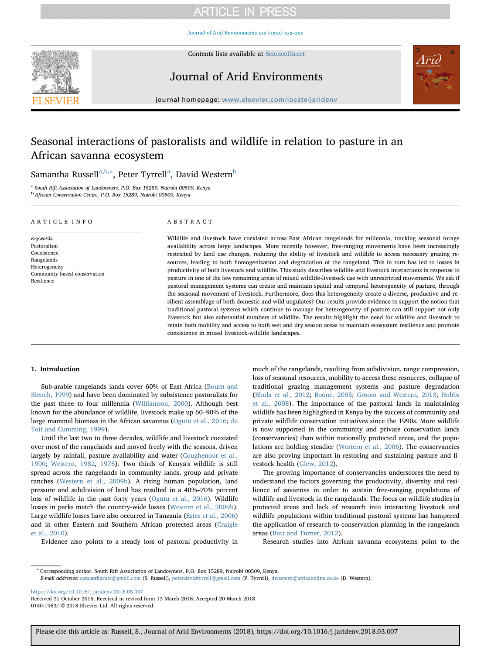# **ARTICLE IN PRESS**

[Journal of Arid Environments xxx \(xxxx\) xxx–xxx](https://doi.org/10.1016/j.jaridenv.2018.03.007)



Contents lists available at [ScienceDirect](http://www.sciencedirect.com/science/journal/01401963)

## Journal of Arid Environments



journal homepage: [www.elsevier.com/locate/jaridenv](https://www.elsevier.com/locate/jaridenv)

## Seasonal interactions of pastoralists and wildlife in relation to pasture in an African savanna ecosystem

### Samantha Russell $^{\rm a,b,*},$  Peter Tyrrell $^{\rm a}$ , David Western $^{\rm b}$

<sup>a</sup> South Rift Association of Landowners, P.O. Box 15289, Nairobi 00509, Kenya <sup>b</sup>African Conservation Centre, P.O. Box 15289, Nairobi 00509, Kenya

#### ARTICLE INFO

Community based conservation

Keywords: Pastoralism Coexistence Rangelands Heterogeneity

Resilience

#### ABSTRACT

Wildlife and livestock have coexisted across East African rangelands for millennia, tracking seasonal forage availability across large landscapes. More recently however, free-ranging movements have been increasingly restricted by land use changes, reducing the ability of livestock and wildlife to access necessary grazing resources, leading to both homogenization and degradation of the rangeland. This in turn has led to losses in productivity of both livestock and wildlife. This study describes wildlife and livestock interactions in response to pasture in one of the few remaining areas of mixed wildlife-livestock use with unrestricted movements. We ask if pastoral management systems can create and maintain spatial and temporal heterogeneity of pasture, through the seasonal movement of livestock. Furthermore, does this heterogeneity create a diverse, productive and resilient assemblage of both domestic and wild ungulates? Our results provide evidence to support the notion that traditional pastoral systems which continue to manage for heterogeneity of pasture can still support not only livestock but also substantial numbers of wildlife. The results highlight the need for wildlife and livestock to retain both mobility and access to both wet and dry season areas to maintain ecosystem resilience and promote coexistence in mixed livestock-wildlife landscapes.

#### 1. Introduction

Sub-arable rangelands lands cover 60% of East Africa (Bourn and Blench, 1999) and have been dominated by subsistence pastoralists for the past three to four millennia (Williamson, 2000). Although best known for the abundance of wildlife, livestock make up 60–90% of the large mammal biomass in the African savannas (Ogutu et al., 2016; du Toit and Cumming, 1999).

Until the last two to three decades, wildlife and livestock coexisted over most of the rangelands and moved freely with the seasons, driven largely by rainfall, pasture availability and water (Coughenour et al., 1990; Western, 1982, 1975). Two thirds of Kenya's wildlife is still spread across the rangelands in community lands, group and private ranches (Western et al., 2009b). A rising human population, land pressure and subdivision of land has resulted in a 40%–70% percent loss of wildlife in the past forty years (Ogutu et al., 2016). Wildlife losses in parks match the country-wide losses (Western et al., 2009b). Large wildlife losses have also occurred in Tanzania (Estes et al., 2006) and in other Eastern and Southern African protected areas (Craigie et al., 2010).

much of the rangelands, resulting from subdivision, range compression, loss of seasonal resources, mobility to access these resources, collapse of traditional grazing management systems and pasture degradation (Bhola et al., 2012; Boone, 2005; Groom and Western, 2013; Hobbs et al., 2008). The importance of the pastoral lands in maintaining wildlife has been highlighted in Kenya by the success of community and private wildlife conservation initiatives since the 1990s. More wildlife is now supported in the community and private conservation lands (conservancies) than within nationally protected areas, and the populations are holding steadier (Western et al., 2006). The conservancies are also proving important in restoring and sustaining pasture and livestock health (Glew, 2012).

The growing importance of conservancies underscores the need to understand the factors governing the productivity, diversity and resilience of savannas in order to sustain free-ranging populations of wildlife and livestock in the rangelands. The focus on wildlife studies in protected areas and lack of research into interacting livestock and wildlife populations within traditional pastoral systems has hampered the application of research to conservation planning in the rangelands areas (Butt and Turner, 2012).

Evidence also points to a steady loss of pastoral productivity in

Research studies into African savanna ecosystems point to the

<sup>∗</sup> Corresponding author. South Rift Association of Landowners, P.O. Box 15289, Nairobi 00509, Kenya.

E-mail addresses: [samantharuss@gmail.com](mailto:samantharuss@gmail.com) (S. Russell), [peterdavidtyrrell@gmail.com](mailto:peterdavidtyrrell@gmail.com) (P. Tyrrell), [dwestern@africaonline.co.ke](mailto:dwestern@africaonline.co.ke) (D. Western).

<https://doi.org/10.1016/j.jaridenv.2018.03.007>

Received 31 October 2016; Received in revised form 13 March 2018; Accepted 20 March 2018 0140-1963/ © 2018 Elsevier Ltd. All rights reserved.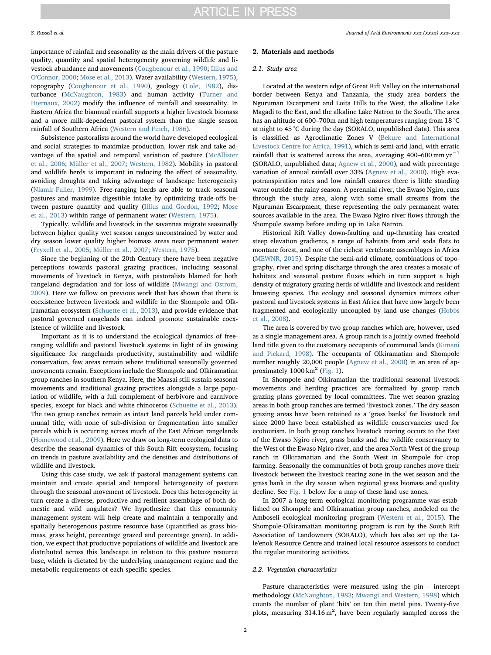importance of rainfall and seasonality as the main drivers of the pasture quality, quantity and spatial heterogeneity governing wildlife and livestock abundance and movements (Coughenour et al., 1990; Illius and O'Connor, 2000; Mose et al., 2013). Water availability (Western, 1975), topography (Coughenour et al., 1990), geology (Cole, 1982), disturbance (McNaughton, 1983) and human activity (Turner and Hiernaux, 2002) modify the influence of rainfall and seasonality. In Eastern Africa the biannual rainfall supports a higher livestock biomass and a more milk-dependent pastoral system than the single season rainfall of Southern Africa (Western and Finch, 1986).

Subsistence pastoralists around the world have developed ecological and social strategies to maximize production, lower risk and take advantage of the spatial and temporal variation of pasture (McAllister et al., 2006; Müller et al., 2007; Western, 1982). Mobility in pastoral and wildlife herds is important in reducing the effect of seasonality, avoiding droughts and taking advantage of landscape heterogeneity (Niamir-Fuller, 1999). Free-ranging herds are able to track seasonal pastures and maximize digestible intake by optimizing trade-offs between pasture quantity and quality (Illius and Gordon, 1992; Mose et al., 2013) within range of permanent water (Western, 1975).

Typically, wildlife and livestock in the savannas migrate seasonally between higher quality wet season ranges unconstrained by water and dry season lower quality higher biomass areas near permanent water (Fryxell et al., 2005; Müller et al., 2007; Western, 1975).

Since the beginning of the 20th Century there have been negative perceptions towards pastoral grazing practices, including seasonal movements of livestock in Kenya, with pastoralists blamed for both rangeland degradation and for loss of wildlife (Mwangi and Ostrom, 2009). Here we follow on previous work that has shown that there is coexistence between livestock and wildlife in the Shompole and Olkiramatian ecosystem (Schuette et al., 2013), and provide evidence that pastoral governed rangelands can indeed promote sustainable coexistence of wildlife and livestock.

Important as it is to understand the ecological dynamics of freeranging wildlife and pastoral livestock systems in light of its growing significance for rangelands productivity, sustainability and wildlife conservation, few areas remain where traditional seasonally governed movements remain. Exceptions include the Shompole and Olkiramatian group ranches in southern Kenya. Here, the Maasai still sustain seasonal movements and traditional grazing practices alongside a large population of wildlife, with a full complement of herbivore and carnivore species, except for black and white rhinoceros (Schuette et al., 2013). The two group ranches remain as intact land parcels held under communal title, with none of sub-division or fragmentation into smaller parcels which is occurring across much of the East African rangelands (Homewood et al., 2009). Here we draw on long-term ecological data to describe the seasonal dynamics of this South Rift ecosystem, focusing on trends in pasture availability and the densities and distributions of wildlife and livestock.

Using this case study, we ask if pastoral management systems can maintain and create spatial and temporal heterogeneity of pasture through the seasonal movement of livestock. Does this heterogeneity in turn create a diverse, productive and resilient assemblage of both domestic and wild ungulates? We hypothesize that this community management system will help create and maintain a temporally and spatially heterogenous pasture resource base (quantified as grass biomass, grass height, percentage grazed and percentage green). In addition, we expect that productive populations of wildlife and livestock are distributed across this landscape in relation to this pasture resource base, which is dictated by the underlying management regime and the metabolic requirements of each specific species.

#### 2. Materials and methods

#### 2.1. Study area

Located at the western edge of Great Rift Valley on the international border between Kenya and Tanzania, the study area borders the Nguruman Escarpment and Loita Hills to the West, the alkaline Lake Magadi to the East, and the alkaline Lake Natron to the South. The area has an altitude of 600–700m and high temperatures ranging from 18 °C at night to 45 °C during the day (SORALO, unpublished data). This area is classified as Agroclimatic Zones V (Bekure and International Livestock Centre for Africa, 1991), which is semi-arid land, with erratic rainfall that is scattered across the area, averaging 400–600 mm  $vr^{-1}$ (SORALO, unpublished data; Agnew et al., 2000), and with percentage variation of annual rainfall over 33% (Agnew et al., 2000). High evapotranspiration rates and low rainfall ensures there is little standing water outside the rainy season. A perennial river, the Ewaso Ngiro, runs through the study area, along with some small streams from the Nguruman Escarpment, these representing the only permanent water sources available in the area. The Ewaso Ngiro river flows through the Shompole swamp before ending up in Lake Natron.

Historical Rift Valley down-faulting and up-thrusting has created steep elevation gradients, a range of habitats from arid soda flats to montane forest, and one of the richest vertebrate assemblages in Africa (MEWNR, 2015). Despite the semi-arid climate, combinations of topography, river and spring discharge through the area creates a mosaic of habitats and seasonal pasture fluxes which in turn support a high density of migratory grazing herds of wildlife and livestock and resident browsing species. The ecology and seasonal dynamics mirrors other pastoral and livestock systems in East Africa that have now largely been fragmented and ecologically uncoupled by land use changes (Hobbs et al., 2008).

The area is covered by two group ranches which are, however, used as a single management area. A group ranch is a jointly owned freehold land title given to the customary occupants of communal lands (Kimani and Pickard, 1998). The occupants of Olkiramatian and Shompole number roughly 20,000 people (Agnew et al., 2000) in an area of approximately  $1000 \text{ km}^2$  (Fig. 1).

In Shompole and Olkiramatian the traditional seasonal livestock movements and herding practices are formalized by group ranch grazing plans governed by local committees. The wet season grazing areas in both group ranches are termed 'livestock zones.' The dry season grazing areas have been retained as a 'grass banks' for livestock and since 2000 have been established as wildlife conservancies used for ecotourism. In both group ranches livestock rearing occurs to the East of the Ewaso Ngiro river, grass banks and the wildlife conservancy to the West of the Ewaso Ngiro river, and the area North West of the group ranch in Olkiramatian and the South West in Shompole for crop farming. Seasonally the communities of both group ranches move their livestock between the livestock rearing zone in the wet season and the grass bank in the dry season when regional grass biomass and quality decline. See Fig. 1 below for a map of these land use zones.

In 2007 a long-term ecological monitoring programme was established on Shompole and Olkiramatian group ranches, modeled on the Amboseli ecological monitoring program (Western et al., 2015). The Shompole-Olkiramatian monitoring program is run by the South Rift Association of Landowners (SORALO), which has also set up the Lale'enok Resource Centre and trained local resource assessors to conduct the regular monitoring activities.

#### 2.2. Vegetation characteristics

Pasture characteristics were measured using the pin – intercept methodology (McNaughton, 1983; Mwangi and Western, 1998) which counts the number of plant 'hits' on ten thin metal pins. Twenty-five plots, measuring  $314.16 \text{ m}^2$ , have been regularly sampled across the